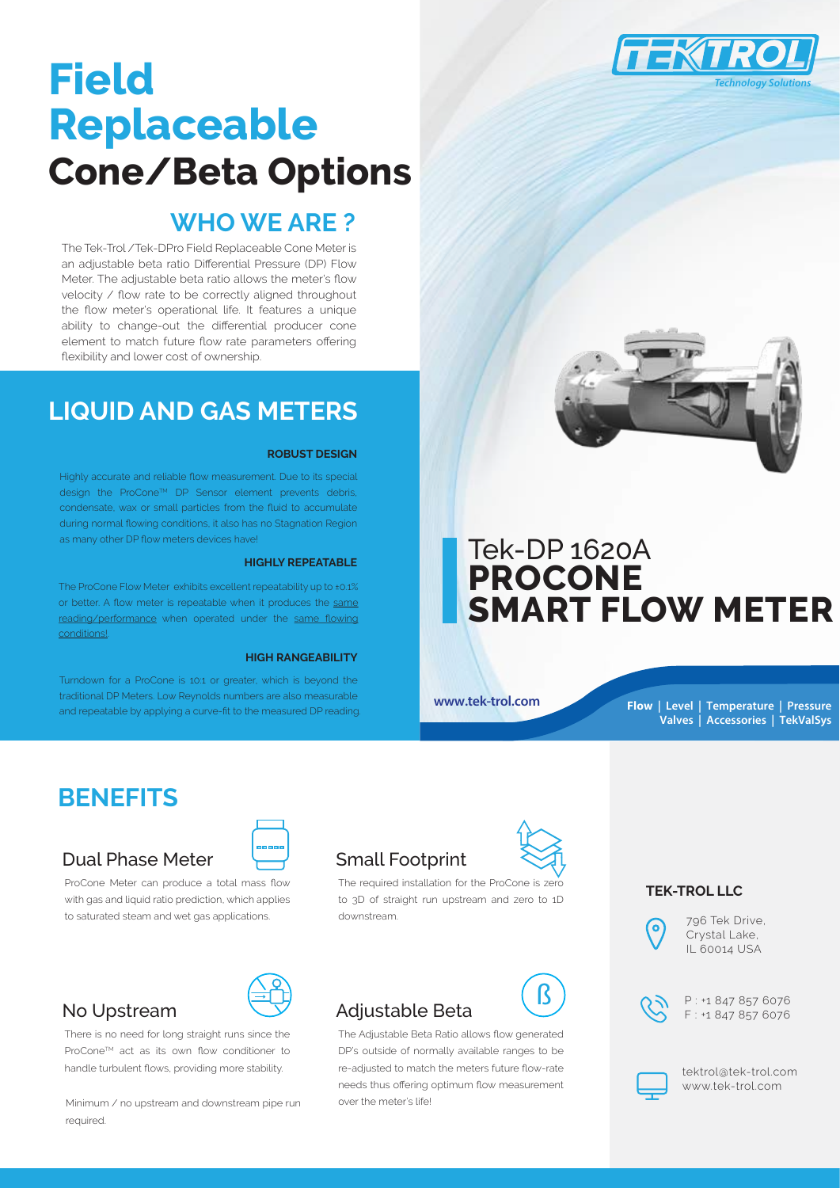

# **Field Replaceable Cone/Beta Options**

### **WHO WE ARE ?**

The Tek-Trol /Tek-DPro Field Replaceable Cone Meter is an adjustable beta ratio Differential Pressure (DP) Flow Meter. The adjustable beta ratio allows the meter's flow velocity / flow rate to be correctly aligned throughout the flow meter's operational life. It features a unique ability to change-out the differential producer cone element to match future flow rate parameters offering flexibility and lower cost of ownership.

### **LIQUID AND GAS METERS**

#### **ROBUST DESIGN**

Highly accurate and reliable flow measurement. Due to its special design the ProConeTM DP Sensor element prevents debris, condensate, wax or small particles from the fluid to accumulate during normal flowing conditions, it also has no Stagnation Region as many other DP flow meters devices have!

#### **HIGHLY REPEATABLE**

The ProCone Flow Meter exhibits excellent repeatability up to ±0.1% or better. A flow meter is repeatable when it produces the same reading/performance when operated under the same flowing conditions!.

#### **HIGH RANGEABILITY**

Turndown for a ProCone is 10:1 or greater, which is beyond the traditional DP Meters. Low Reynolds numbers are also measurable and repeatable by applying a curve-fit to the measured DP reading.



### Tek-DP 1620A **PROCONE SMART FLOW METER**

**www.tek-trol.com**

**Flow | Level | Temperature | Pressure Valves | Accessories | TekValSys**

### **BENEFITS**

#### Dual Phase Meter

ProCone Meter can produce a total mass flow



The required installation for the ProCone is zero to 3D of straight run upstream and zero to 1D downstream.

## Adjustable Beta $\overline{\mathcal{B}}$

The Adjustable Beta Ratio allows flow generated DP's outside of normally available ranges to be re-adjusted to match the meters future flow-rate needs thus offering optimum flow measurement over the meter's life!



#### **TEK-TROL LLC**

0

796 Tek Drive, Crystal Lake, IL 60014 USA



P : +1 847 857 6076 F : +1 847 857 6076



tektrol@tek-trol.com www.tek-trol.com



### No Upstream

There is no need for long straight runs since the ProConeTM act as its own flow conditioner to handle turbulent flows, providing more stability.

with gas and liquid ratio prediction, which applies to saturated steam and wet gas applications.

Minimum / no upstream and downstream pipe run required.